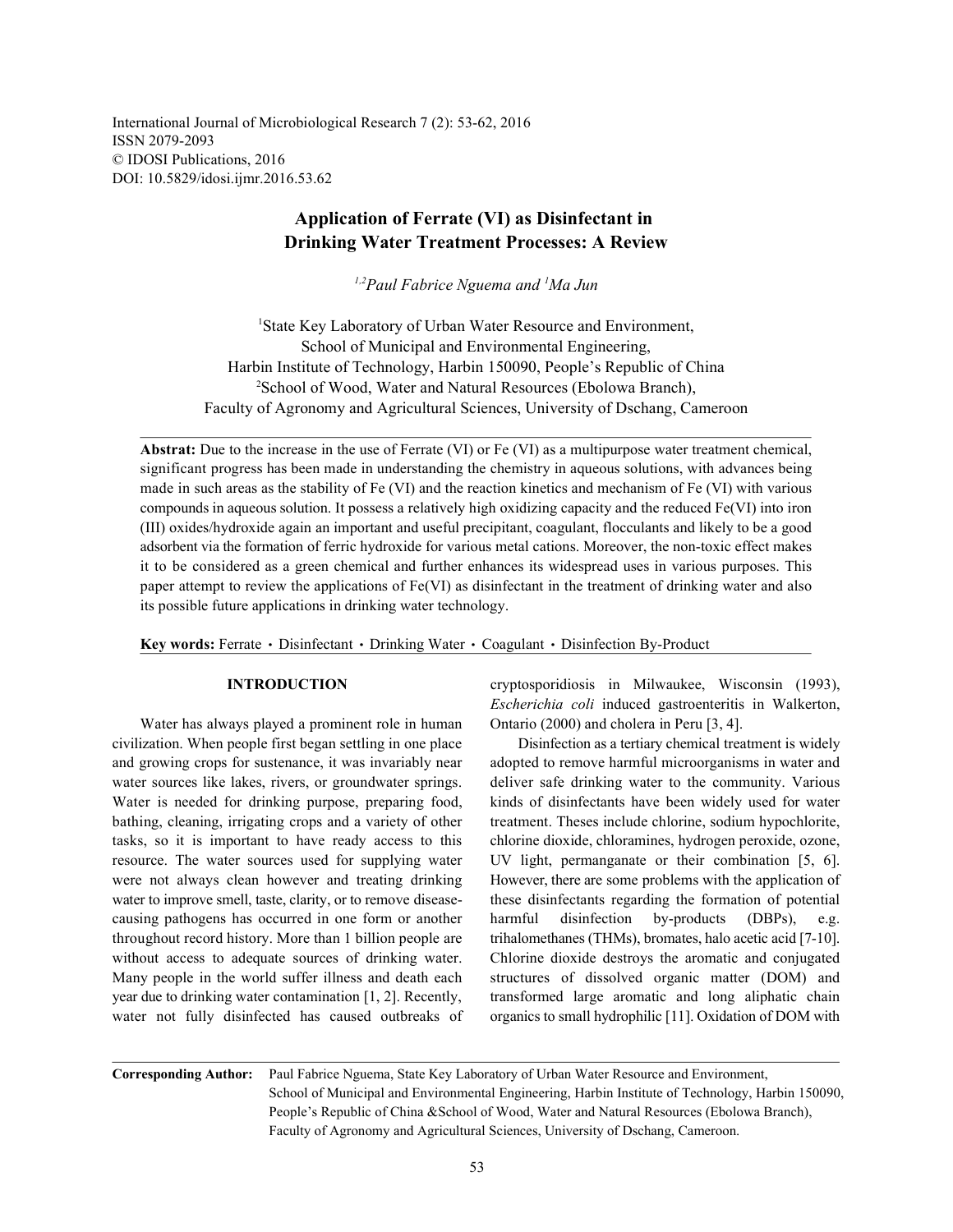International Journal of Microbiological Research 7 (2): 53-62, 2016 ISSN 2079-2093 © IDOSI Publications, 2016 DOI: 10.5829/idosi.ijmr.2016.53.62

# **Application of Ferrate (VI) as Disinfectant in Drinking Water Treatment Processes: A Review**

*Paul Fabrice Nguema and Ma Jun 1,2 <sup>1</sup>*

<sup>1</sup>State Key Laboratory of Urban Water Resource and Environment, School of Municipal and Environmental Engineering, Harbin Institute of Technology, Harbin 150090, People's Republic of China <sup>2</sup>School of Wood, Water and Natural Resources (Ebolowa Branch), Faculty of Agronomy and Agricultural Sciences, University of Dschang, Cameroon

**Abstrat:** Due to the increase in the use of Ferrate (VI) or Fe (VI) as a multipurpose water treatment chemical, significant progress has been made in understanding the chemistry in aqueous solutions, with advances being made in such areas as the stability of Fe (VI) and the reaction kinetics and mechanism of Fe (VI) with various compounds in aqueous solution. It possess a relatively high oxidizing capacity and the reduced Fe(VI) into iron (III) oxides/hydroxide again an important and useful precipitant, coagulant, flocculants and likely to be a good adsorbent via the formation of ferric hydroxide for various metal cations. Moreover, the non-toxic effect makes it to be considered as a green chemical and further enhances its widespread uses in various purposes. This paper attempt to review the applications of Fe(VI) as disinfectant in the treatment of drinking water and also its possible future applications in drinking water technology.

Key words: Ferrate · Disinfectant · Drinking Water · Coagulant · Disinfection By-Product

Water has always played a prominent role in human Ontario (2000) and cholera in Peru [3, 4]. civilization. When people first began settling in one place Disinfection as a tertiary chemical treatment is widely and growing crops for sustenance, it was invariably near adopted to remove harmful microorganisms in water and water sources like lakes, rivers, or groundwater springs. deliver safe drinking water to the community. Various Water is needed for drinking purpose, preparing food, kinds of disinfectants have been widely used for water bathing, cleaning, irrigating crops and a variety of other treatment. Theses include chlorine, sodium hypochlorite, tasks, so it is important to have ready access to this chlorine dioxide, chloramines, hydrogen peroxide, ozone, resource. The water sources used for supplying water UV light, permanganate or their combination [5, 6]. were not always clean however and treating drinking However, there are some problems with the application of water to improve smell, taste, clarity, or to remove disease-<br>these disinfectants regarding the formation of potential causing pathogens has occurred in one form or another harmful disinfection by-products (DBPs), e.g. throughout record history. More than 1 billion people are trihalomethanes (THMs), bromates, halo acetic acid [7-10]. without access to adequate sources of drinking water. Chlorine dioxide destroys the aromatic and conjugated Many people in the world suffer illness and death each structures of dissolved organic matter (DOM) and year due to drinking water contamination [1, 2]. Recently, transformed large aromatic and long aliphatic chain water not fully disinfected has caused outbreaks of organics to small hydrophilic [11]. Oxidation of DOM with

**INTRODUCTION** cryptosporidiosis in Milwaukee, Wisconsin (1993), *Escherichia coli* induced gastroenteritis in Walkerton,

**Corresponding Author:** Paul Fabrice Nguema, State Key Laboratory of Urban Water Resource and Environment, School of Municipal and Environmental Engineering, Harbin Institute of Technology, Harbin 150090, People's Republic of China &School of Wood, Water and Natural Resources (Ebolowa Branch), Faculty of Agronomy and Agricultural Sciences, University of Dschang, Cameroon.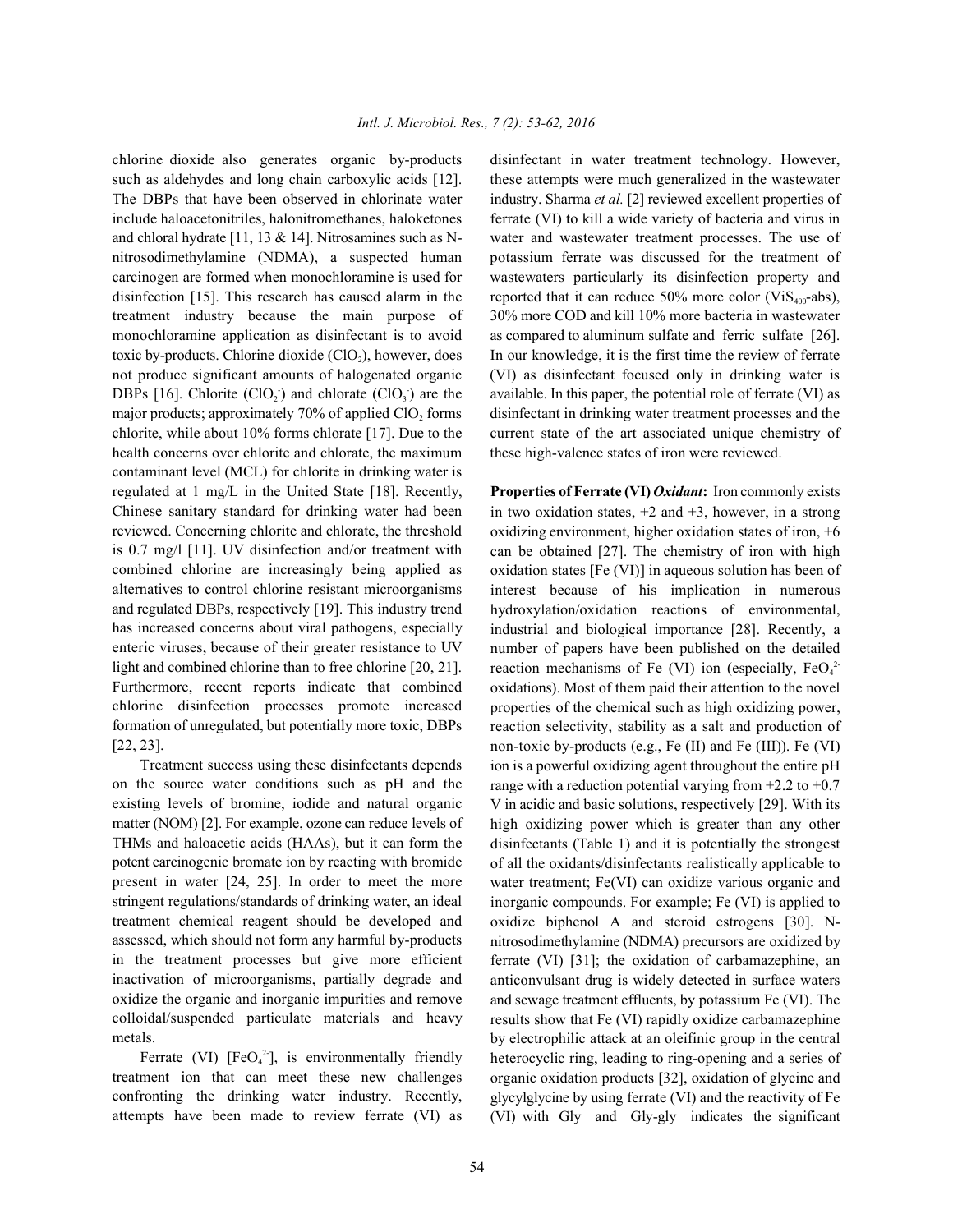such as aldehydes and long chain carboxylic acids [12]. these attempts were much generalized in the wastewater The DBPs that have been observed in chlorinate water industry. Sharma *et al.* [2] reviewed excellent properties of include haloacetonitriles, halonitromethanes, haloketones ferrate (VI) to kill a wide variety of bacteria and virus in and chloral hydrate [11, 13 & 14]. Nitrosamines such as N- water and wastewater treatment processes. The use of nitrosodimethylamine (NDMA), a suspected human potassium ferrate was discussed for the treatment of carcinogen are formed when monochloramine is used for wastewaters particularly its disinfection property and disinfection [15]. This research has caused alarm in the reported that it can reduce 50% more color (ViS<sub>400</sub>-abs), treatment industry because the main purpose of 30% more COD and kill 10% more bacteria in wastewater monochloramine application as disinfectant is to avoid as compared to aluminum sulfate and ferric sulfate [26]. toxic by-products. Chlorine dioxide  $(CIO_2)$ , however, does In our knowledge, it is the first time the review of ferrate not produce significant amounts of halogenated organic (VI) as disinfectant focused only in drinking water is DBPs [16]. Chlorite  $(CIO_2)$  and chlorate  $(CIO_3)$  are the major products; approximately 70% of applied ClO, forms disinfectant in drinking water treatment processes and the chlorite, while about 10% forms chlorate [17]. Due to the current state of the art associated unique chemistry of health concerns over chlorite and chlorate, the maximum these high-valence states of iron were reviewed. contaminant level (MCL) for chlorite in drinking water is regulated at 1 mg/L in the United State [18]. Recently, **Properties of Ferrate (VI)** *Oxidant***:** Iron commonly exists Chinese sanitary standard for drinking water had been reviewed. Concerning chlorite and chlorate, the threshold is 0.7 mg/l [11]. UV disinfection and/or treatment with combined chlorine are increasingly being applied as alternatives to control chlorine resistant microorganisms and regulated DBPs, respectively [19]. This industry trend has increased concerns about viral pathogens, especially enteric viruses, because of their greater resistance to UV light and combined chlorine than to free chlorine [20, 21]. Furthermore, recent reports indicate that combined chlorine disinfection processes promote increased formation of unregulated, but potentially more toxic, DBPs [22, 23].

Treatment success using these disinfectants depends on the source water conditions such as pH and the existing levels of bromine, iodide and natural organic matter (NOM) [2]. For example, ozone can reduce levels of THMs and haloacetic acids (HAAs), but it can form the potent carcinogenic bromate ion by reacting with bromide present in water [24, 25]. In order to meet the more stringent regulations/standards of drinking water, an ideal treatment chemical reagent should be developed and assessed, which should not form any harmful by-products in the treatment processes but give more efficient inactivation of microorganisms, partially degrade and oxidize the organic and inorganic impurities and remove colloidal/suspended particulate materials and heavy metals.

Ferrate (VI) [FeO<sub>4</sub><sup>2</sup>], is environmentally friendly treatment ion that can meet these new challenges confronting the drinking water industry. Recently, attempts have been made to review ferrate (VI) as

chlorine dioxide also generates organic by-products disinfectant in water treatment technology. However, available. In this paper, the potential role of ferrate (VI) as

> in two oxidation states,  $+2$  and  $+3$ , however, in a strong oxidizing environment, higher oxidation states of iron, +6 can be obtained [27]. The chemistry of iron with high oxidation states [Fe (VI)] in aqueous solution has been of interest because of his implication in numerous hydroxylation/oxidation reactions of environmental, industrial and biological importance [28]. Recently, a number of papers have been published on the detailed reaction mechanisms of Fe (VI) ion (especially,  $FeO<sub>4</sub><sup>2</sup>$ oxidations). Most of them paid their attention to the novel properties of the chemical such as high oxidizing power, reaction selectivity, stability as a salt and production of non-toxic by-products (e.g., Fe (II) and Fe (III)). Fe (VI) ion is a powerful oxidizing agent throughout the entire pH range with a reduction potential varying from  $+2.2$  to  $+0.7$ V in acidic and basic solutions, respectively [29]. With its high oxidizing power which is greater than any other disinfectants (Table 1) and it is potentially the strongest of all the oxidants/disinfectants realistically applicable to water treatment; Fe(VI) can oxidize various organic and inorganic compounds. For example; Fe (VI) is applied to oxidize biphenol A and steroid estrogens [30]. Nnitrosodimethylamine (NDMA) precursors are oxidized by ferrate (VI) [31]; the oxidation of carbamazephine, an anticonvulsant drug is widely detected in surface waters and sewage treatment effluents, by potassium Fe (VI). The results show that Fe (VI) rapidly oxidize carbamazephine by electrophilic attack at an oleifinic group in the central heterocyclic ring, leading to ring-opening and a series of organic oxidation products [32], oxidation of glycine and glycylglycine by using ferrate (VI) and the reactivity of Fe (VI) with Gly and Gly-gly indicates the significant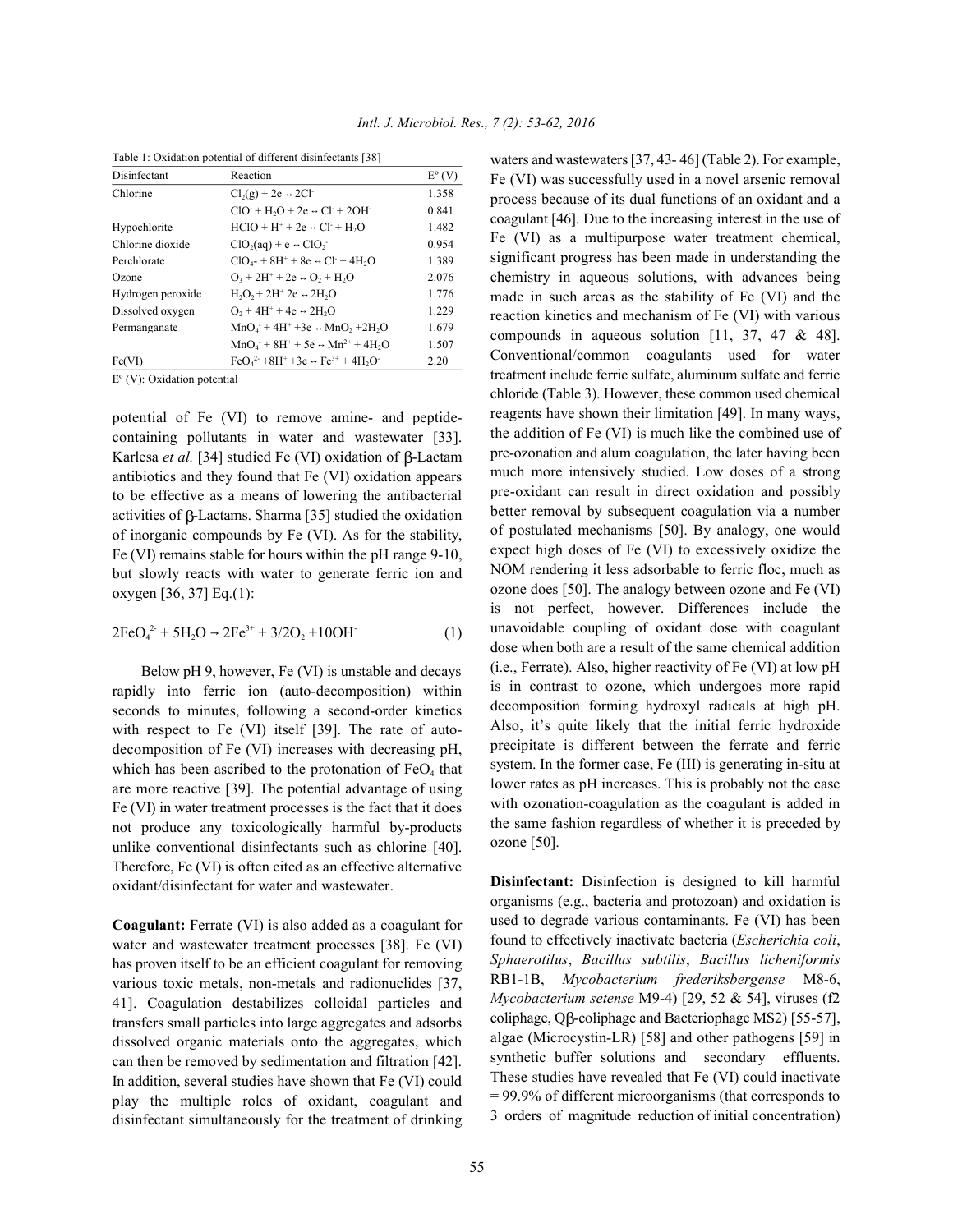| Disinfectant      | Reaction                                                                            | $E^{\circ}$ (V) |
|-------------------|-------------------------------------------------------------------------------------|-----------------|
| Chlorine          | $Cl2(g) + 2e \rightarrow 2Cl^{-}$                                                   | 1.358           |
|                   | $ClO+H2O + 2e \rightarrow Cl + 2OH$                                                 | 0.841           |
| Hypochlorite      | $HCIO + H^+ + 2e \rightarrow Cl^+ + H_2O$                                           | 1.482           |
| Chlorine dioxide  | $ClO2(aq) + e \rightarrow ClO2$                                                     | 0.954           |
| Perchlorate       | $ClO4$ + 8H <sup>+</sup> + 8e $\leftrightarrow$ Cl <sup>-</sup> + 4H <sub>2</sub> O | 1.389           |
| Ozone             | $O_3 + 2H^+ + 2e \rightarrow O_2 + H_2O$                                            | 2.076           |
| Hydrogen peroxide | $H_2O_2 + 2H^2$ 2e $\rightarrow$ 2H <sub>2</sub> O                                  | 1.776           |
| Dissolved oxygen  | $O_2 + 4H^+ + 4e \div 2H_2O$                                                        | 1.229           |
| Permanganate      | $MnO4 + 4H+ + 3e \rightarrow MnO$ , +2H <sub>2</sub> O                              | 1.679           |
|                   | $MnO_4$ + 8H <sup>+</sup> + 5e $\rightarrow$ Mn <sup>2+</sup> + 4H <sub>2</sub> O   | 1.507           |
| Fe(VI)            | $FeO42 + 8H+ + 3e \rightarrow Fe3+ + 4H2O-$                                         | 2.20            |

Table 1: Oxidation potential of different disinfectants [38]

Eº (V): Oxidation potential

potential of Fe (VI) to remove amine- and peptidecontaining pollutants in water and wastewater [33]. Karlesa *et al.* [34] studied Fe (VI) oxidation of  $\beta$ -Lactam antibiotics and they found that Fe (VI) oxidation appears to be effective as a means of lowering the antibacterial activities of  $\beta$ -Lactams. Sharma [35] studied the oxidation of inorganic compounds by Fe (VI). As for the stability, Fe (VI) remains stable for hours within the pH range 9-10, but slowly reacts with water to generate ferric ion and oxygen [36, 37] Eq.(1):

$$
2FeO42 + 5H2O - 2Fe3+ + 3/2O2 + 10OH
$$
 (1)

Below pH 9, however, Fe (VI) is unstable and decays rapidly into ferric ion (auto-decomposition) within seconds to minutes, following a second-order kinetics with respect to Fe (VI) itself [39]. The rate of autodecomposition of Fe (VI) increases with decreasing pH, which has been ascribed to the protonation of  $FeO<sub>4</sub>$  that are more reactive [39]. The potential advantage of using Fe (VI) in water treatment processes is the fact that it does not produce any toxicologically harmful by-products unlike conventional disinfectants such as chlorine [40]. Therefore, Fe (VI) is often cited as an effective alternative oxidant/disinfectant for water and wastewater.

**Coagulant:** Ferrate (VI) is also added as a coagulant for water and wastewater treatment processes [38]. Fe (VI) has proven itself to be an efficient coagulant for removing various toxic metals, non-metals and radionuclides [37, 41]. Coagulation destabilizes colloidal particles and transfers small particles into large aggregates and adsorbs dissolved organic materials onto the aggregates, which can then be removed by sedimentation and filtration [42]. In addition, several studies have shown that Fe (VI) could play the multiple roles of oxidant, coagulant and disinfectant simultaneously for the treatment of drinking waters and wastewaters [37, 43- 46] (Table 2). For example, Fe (VI) was successfully used in a novel arsenic removal process because of its dual functions of an oxidant and a coagulant [46]. Due to the increasing interest in the use of Fe (VI) as a multipurpose water treatment chemical, significant progress has been made in understanding the chemistry in aqueous solutions, with advances being made in such areas as the stability of Fe (VI) and the reaction kinetics and mechanism of Fe (VI) with various compounds in aqueous solution [11, 37, 47 & 48]. Conventional/common coagulants used for water treatment include ferric sulfate, aluminum sulfate and ferric chloride (Table 3). However, these common used chemical reagents have shown their limitation [49]. In many ways, the addition of Fe (VI) is much like the combined use of pre-ozonation and alum coagulation, the later having been much more intensively studied. Low doses of a strong pre-oxidant can result in direct oxidation and possibly better removal by subsequent coagulation via a number of postulated mechanisms [50]. By analogy, one would expect high doses of Fe (VI) to excessively oxidize the NOM rendering it less adsorbable to ferric floc, much as ozone does [50]. The analogy between ozone and Fe (VI) is not perfect, however. Differences include the unavoidable coupling of oxidant dose with coagulant dose when both are a result of the same chemical addition (i.e., Ferrate). Also, higher reactivity of Fe (VI) at low pH is in contrast to ozone, which undergoes more rapid decomposition forming hydroxyl radicals at high pH. Also, it's quite likely that the initial ferric hydroxide precipitate is different between the ferrate and ferric system. In the former case, Fe (III) is generating in-situ at lower rates as pH increases. This is probably not the case with ozonation-coagulation as the coagulant is added in the same fashion regardless of whether it is preceded by ozone [50].

**Disinfectant:** Disinfection is designed to kill harmful organisms (e.g., bacteria and protozoan) and oxidation is used to degrade various contaminants. Fe (VI) has been found to effectively inactivate bacteria (*Escherichia coli*, *Sphaerotilus*, *Bacillus subtilis*, *Bacillus licheniformis* RB1-1B, *Mycobacterium frederiksbergense* M8-6, *Mycobacterium setense* M9-4) [29, 52 & 54], viruses (f2 coliphage, Q $\beta$ -coliphage and Bacteriophage MS2) [55-57], algae (Microcystin-LR) [58] and other pathogens [59] in synthetic buffer solutions and secondary effluents. These studies have revealed that Fe (VI) could inactivate = 99.9% of different microorganisms (that corresponds to 3 orders of magnitude reduction of initial concentration)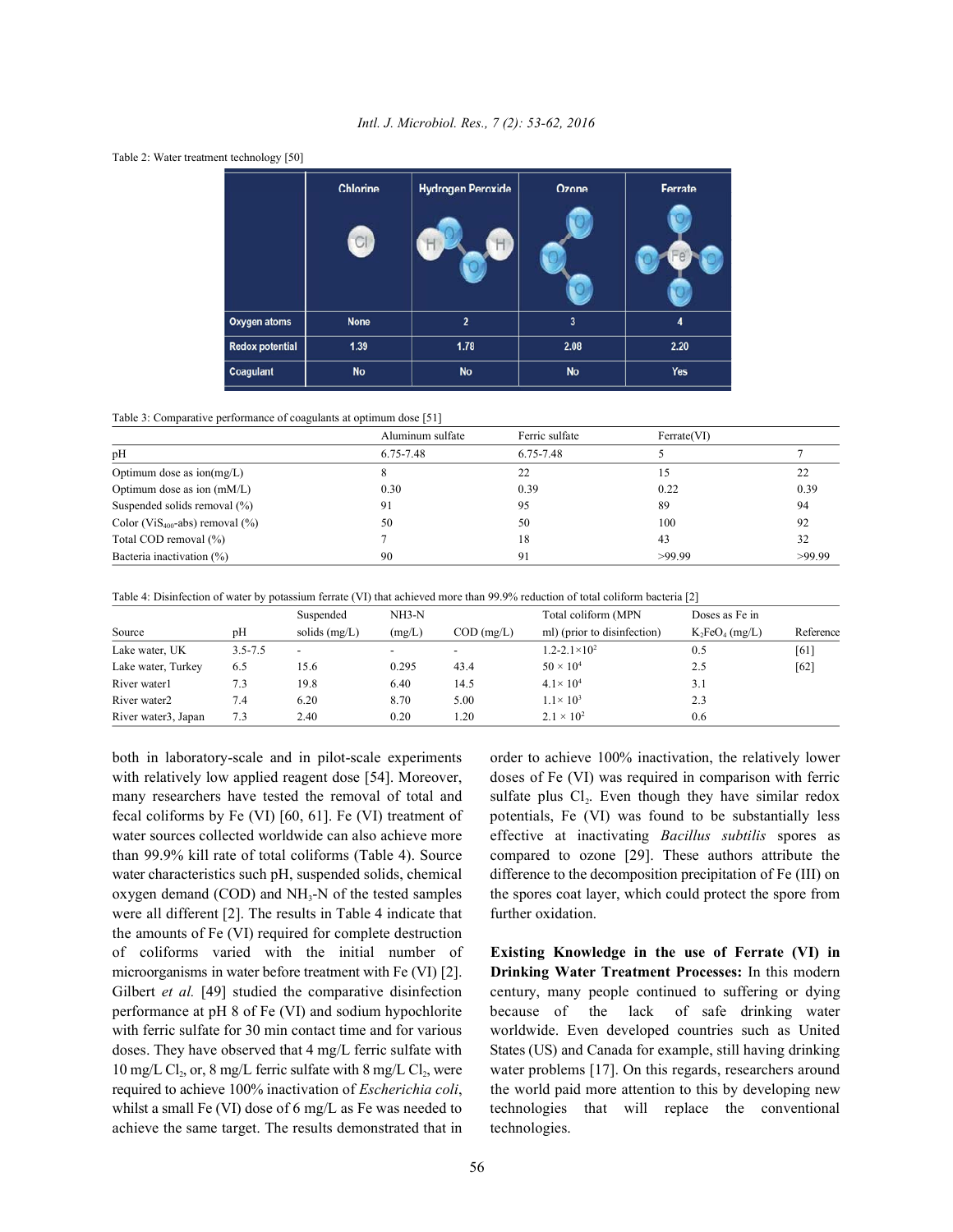

## *Intl. J. Microbiol. Res., 7 (2): 53-62, 2016*



|                                                 | Aluminum sulfate | Ferric sulfate | Ferrate(VI) |        |
|-------------------------------------------------|------------------|----------------|-------------|--------|
| pH                                              | 6.75-7.48        | 6.75-7.48      |             |        |
| Optimum dose as $\text{ion}(mg/L)$              |                  | 22             |             | າາ     |
| Optimum dose as ion (mM/L)                      | 0.30             | 0.39           | 0.22        | 0.39   |
| Suspended solids removal (%)                    | 91               | 95             | 89          | 94     |
| Color (ViS <sub>400</sub> -abs) removal $(\% )$ | 50               | 50             | 100         | 92     |
| Total COD removal (%)                           |                  | 18             | 43          | 32     |
| Bacteria inactivation (%)                       | 90               | 91             | >99.99      | >99.99 |

Table 4: Disinfection of water by potassium ferrate (VI) that achieved more than 99.9% reduction of total coliform bacteria [2]

|                     |             | Suspended                | $NH3-N$ |                          | Total coliform (MPN)        | Doses as Fe in    |           |
|---------------------|-------------|--------------------------|---------|--------------------------|-----------------------------|-------------------|-----------|
| Source              | pH          | solids $(mg/L)$          | (mg/L)  | $COD$ (mg/L)             | ml) (prior to disinfection) | $K_2FeO_4$ (mg/L) | Reference |
| Lake water, UK      | $3.5 - 7.5$ | $\overline{\phantom{0}}$ |         | $\overline{\phantom{0}}$ | $1.2 - 2.1 \times 10^2$     | 0.5               | [61]      |
| Lake water, Turkey  | 6.5         | 15.6                     | 0.295   | 43.4                     | $50 \times 10^{4}$          | 2.5               | [62]      |
| River water1        | 7.3         | 19.8                     | 6.40    | 14.5                     | $4.1 \times 10^{4}$         | 3.1               |           |
| River water2        | 7.4         | 6.20                     | 8.70    | 5.00                     | $1.1 \times 10^{3}$         | 2.3               |           |
| River water3, Japan | 7.3         | 2.40                     | 0.20    | .20                      | $2.1 \times 10^{2}$         | 0.6               |           |

both in laboratory-scale and in pilot-scale experiments order to achieve 100% inactivation, the relatively lower were all different [2]. The results in Table 4 indicate that further oxidation. the amounts of Fe (VI) required for complete destruction of coliforms varied with the initial number of **Existing Knowledge in the use of Ferrate (VI) in** microorganisms in water before treatment with Fe (VI) [2]. **Drinking Water Treatment Processes:** In this modern Gilbert *et al.* [49] studied the comparative disinfection century, many people continued to suffering or dying performance at pH 8 of Fe (VI) and sodium hypochlorite because of the lack of safe drinking water with ferric sulfate for 30 min contact time and for various worldwide. Even developed countries such as United doses. They have observed that 4 mg/L ferric sulfate with States (US) and Canada for example, still having drinking 10 mg/L Cl<sub>2</sub>, or, 8 mg/L ferric sulfate with 8 mg/L Cl<sub>2</sub>, were water problems [17]. On this regards, researchers around required to achieve 100% inactivation of *Escherichia coli*, the world paid more attention to this by developing new whilst a small Fe (VI) dose of 6 mg/L as Fe was needed to technologies that will replace the conventional achieve the same target. The results demonstrated that in technologies.

with relatively low applied reagent dose [54]. Moreover, doses of Fe (VI) was required in comparison with ferric many researchers have tested the removal of total and sulfate plus  $Cl_2$ . Even though they have similar redox fecal coliforms by Fe (VI) [60, 61]. Fe (VI) treatment of potentials, Fe (VI) was found to be substantially less water sources collected worldwide can also achieve more effective at inactivating *Bacillus subtilis* spores as than 99.9% kill rate of total coliforms (Table 4). Source compared to ozone [29]. These authors attribute the water characteristics such pH, suspended solids, chemical difference to the decomposition precipitation of Fe (III) on oxygen demand (COD) and  $NH<sub>3</sub>-N$  of the tested samples the spores coat layer, which could protect the spore from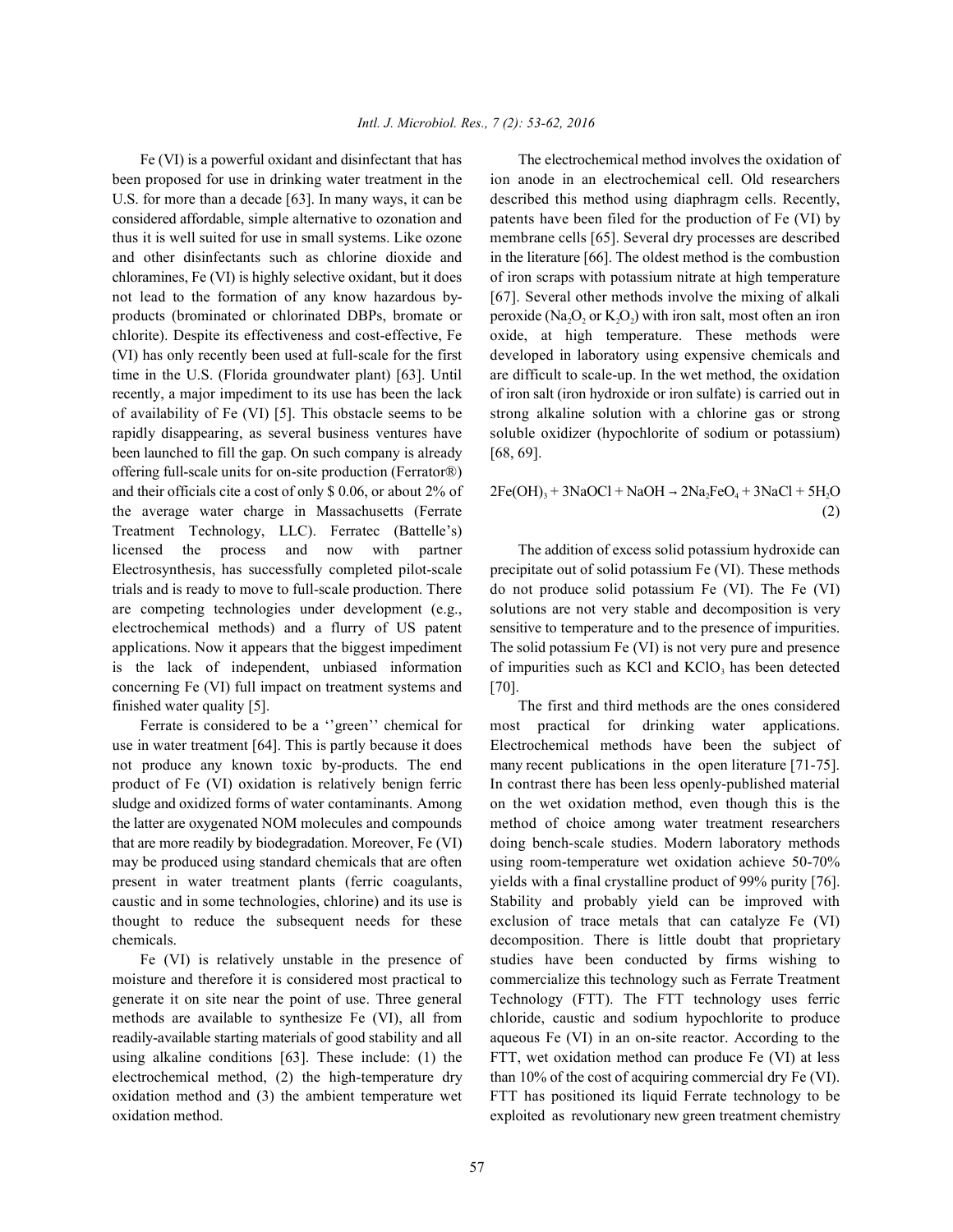been proposed for use in drinking water treatment in the ion anode in an electrochemical cell. Old researchers U.S. for more than a decade [63]. In many ways, it can be described this method using diaphragm cells. Recently, considered affordable, simple alternative to ozonation and patents have been filed for the production of Fe (VI) by thus it is well suited for use in small systems. Like ozone membrane cells [65]. Several dry processes are described and other disinfectants such as chlorine dioxide and in the literature [66]. The oldest method is the combustion chloramines, Fe (VI) is highly selective oxidant, but it does of iron scraps with potassium nitrate at high temperature not lead to the formation of any know hazardous by- [67]. Several other methods involve the mixing of alkali products (brominated or chlorinated DBPs, bromate or peroxide (Na<sub>2</sub>O<sub>2</sub> or K<sub>2</sub>O<sub>2</sub>) with iron salt, most often an iron chlorite). Despite its effectiveness and cost-effective, Fe oxide, at high temperature. These methods were (VI) has only recently been used at full-scale for the first developed in laboratory using expensive chemicals and time in the U.S. (Florida groundwater plant) [63]. Until are difficult to scale-up. In the wet method, the oxidation recently, a major impediment to its use has been the lack of iron salt (iron hydroxide or iron sulfate) is carried out in of availability of Fe (VI) [5]. This obstacle seems to be strong alkaline solution with a chlorine gas or strong rapidly disappearing, as several business ventures have soluble oxidizer (hypochlorite of sodium or potassium) been launched to fill the gap. On such company is already [68, 69]. offering full-scale units for on-site production (Ferrator®) and their officials cite a cost of only  $$0.06$ , or about 2% of the average water charge in Massachusetts (Ferrate Treatment Technology, LLC). Ferratec (Battelle's) licensed the process and now with partner The addition of excess solid potassium hydroxide can Electrosynthesis, has successfully completed pilot-scale precipitate out of solid potassium Fe (VI). These methods trials and is ready to move to full-scale production. There do not produce solid potassium Fe (VI). The Fe (VI) are competing technologies under development (e.g., solutions are not very stable and decomposition is very electrochemical methods) and a flurry of US patent sensitive to temperature and to the presence of impurities. applications. Now it appears that the biggest impediment The solid potassium Fe (VI) is not very pure and presence is the lack of independent, unbiased information of impurities such as KCl and KClO<sub>3</sub> has been detected concerning Fe (VI) full impact on treatment systems and [70]. finished water quality [5]. The first and third methods are the ones considered

use in water treatment [64]. This is partly because it does Electrochemical methods have been the subject of not produce any known toxic by-products. The end many recent publications in the open literature [71-75]. product of Fe (VI) oxidation is relatively benign ferric In contrast there has been less openly-published material sludge and oxidized forms of water contaminants. Among on the wet oxidation method, even though this is the the latter are oxygenated NOM molecules and compounds method of choice among water treatment researchers that are more readily by biodegradation. Moreover, Fe (VI) doing bench-scale studies. Modern laboratory methods may be produced using standard chemicals that are often using room-temperature wet oxidation achieve 50-70% present in water treatment plants (ferric coagulants, yields with a final crystalline product of 99% purity [76]. caustic and in some technologies, chlorine) and its use is Stability and probably yield can be improved with thought to reduce the subsequent needs for these exclusion of trace metals that can catalyze Fe (VI) chemicals. decomposition. There is little doubt that proprietary

moisture and therefore it is considered most practical to commercialize this technology such as Ferrate Treatment generate it on site near the point of use. Three general Technology (FTT). The FTT technology uses ferric methods are available to synthesize Fe (VI), all from chloride, caustic and sodium hypochlorite to produce readily-available starting materials of good stability and all aqueous Fe (VI) in an on-site reactor. According to the using alkaline conditions [63]. These include: (1) the FTT, wet oxidation method can produce Fe (VI) at less electrochemical method, (2) the high-temperature dry than 10% of the cost of acquiring commercial dry Fe (VI). oxidation method and (3) the ambient temperature wet FTT has positioned its liquid Ferrate technology to be oxidation method. exploited as revolutionary new green treatment chemistry

Fe (VI) is a powerful oxidant and disinfectant that has The electrochemical method involves the oxidation of

$$
2Fe(OH)_3 + 3NaOCl + NaOH \rightarrow 2Na_2FeO_4 + 3NaCl + 5H_2O
$$
\n(2)

Ferrate is considered to be a "green" chemical for most practical for drinking water applications. Fe (VI) is relatively unstable in the presence of studies have been conducted by firms wishing to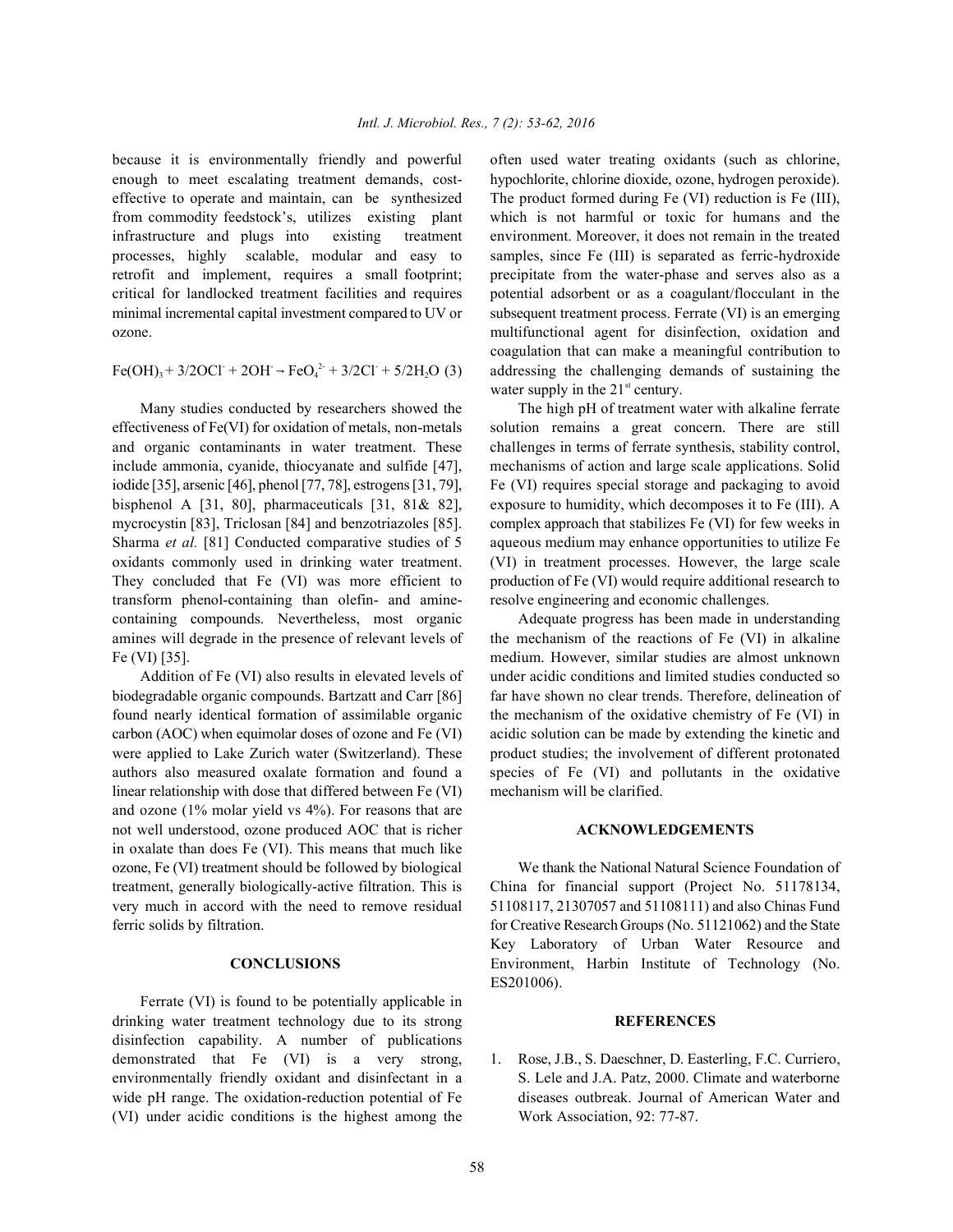enough to meet escalating treatment demands, cost- hypochlorite, chlorine dioxide, ozone, hydrogen peroxide). effective to operate and maintain, can be synthesized The product formed during Fe (VI) reduction is Fe (III), from commodity feedstock's, utilizes existing plant which is not harmful or toxic for humans and the infrastructure and plugs into existing treatment environment. Moreover, it does not remain in the treated processes, highly scalable, modular and easy to samples, since Fe (III) is separated as ferric-hydroxide retrofit and implement, requires a small footprint; precipitate from the water-phase and serves also as a critical for landlocked treatment facilities and requires potential adsorbent or as a coagulant/flocculant in the minimal incremental capital investment compared to UV or subsequent treatment process. Ferrate (VI) is an emerging ozone. multifunctional agent for disinfection, oxidation and

 $Fe(OH)_{3} + 3/2OCl$ <sup>-</sup> + 2OH<sup>-</sup> -  $FeO_{4}^{2}$ - + 3/2Cl<sup>-</sup> + 5/2H<sub>2</sub>O (3)

Many studies conducted by researchers showed the The high pH of treatment water with alkaline ferrate effectiveness of Fe(VI) for oxidation of metals, non-metals solution remains a great concern. There are still and organic contaminants in water treatment. These challenges in terms of ferrate synthesis, stability control, include ammonia, cyanide, thiocyanate and sulfide [47], mechanisms of action and large scale applications. Solid iodide [35], arsenic [46], phenol [77, 78], estrogens [31, 79], Fe (VI) requires special storage and packaging to avoid bisphenol A [31, 80], pharmaceuticals [31, 81& 82], exposure to humidity, which decomposes it to Fe (III). A mycrocystin [83], Triclosan [84] and benzotriazoles [85]. complex approach that stabilizes Fe (VI) for few weeks in Sharma *et al.* [81] Conducted comparative studies of 5 aqueous medium may enhance opportunities to utilize Fe oxidants commonly used in drinking water treatment. (VI) in treatment processes. However, the large scale They concluded that Fe (VI) was more efficient to production of Fe (VI) would require additional research to transform phenol-containing than olefin- and amine- resolve engineering and economic challenges. containing compounds. Nevertheless, most organic Adequate progress has been made in understanding amines will degrade in the presence of relevant levels of the mechanism of the reactions of Fe (VI) in alkaline Fe (VI) [35]. medium. However, similar studies are almost unknown

biodegradable organic compounds. Bartzatt and Carr [86] far have shown no clear trends. Therefore, delineation of found nearly identical formation of assimilable organic the mechanism of the oxidative chemistry of Fe (VI) in carbon (AOC) when equimolar doses of ozone and Fe (VI) acidic solution can be made by extending the kinetic and were applied to Lake Zurich water (Switzerland). These product studies; the involvement of different protonated authors also measured oxalate formation and found a species of Fe (VI) and pollutants in the oxidative linear relationship with dose that differed between Fe (VI) mechanism will be clarified. and ozone (1% molar yield vs 4%). For reasons that are not well understood, ozone produced AOC that is richer **ACKNOWLEDGEMENTS** in oxalate than does Fe (VI). This means that much like ozone, Fe (VI) treatment should be followed by biological We thank the National Natural Science Foundation of treatment, generally biologically-active filtration. This is China for financial support (Project No. 51178134, very much in accord with the need to remove residual 51108117, 21307057 and 51108111) and also Chinas Fund

Ferrate (VI) is found to be potentially applicable in drinking water treatment technology due to its strong **REFERENCES** disinfection capability. A number of publications demonstrated that Fe (VI) is a very strong, 1. Rose, J.B., S. Daeschner, D. Easterling, F.C. Curriero, (VI) under acidic conditions is the highest among the Work Association, 92: 77-87.

because it is environmentally friendly and powerful often used water treating oxidants (such as chlorine, addressing the challenging demands of sustaining the coagulation that can make a meaningful contribution to water supply in the  $21<sup>st</sup>$  century.

Addition of Fe (VI) also results in elevated levels of under acidic conditions and limited studies conducted so

ferric solids by filtration. for Creative Research Groups (No. 51121062) and the State **CONCLUSIONS** Environment, Harbin Institute of Technology (No. Key Laboratory of Urban Water Resource and ES201006).

environmentally friendly oxidant and disinfectant in a S. Lele and J.A. Patz, 2000. Climate and waterborne wide pH range. The oxidation-reduction potential of Fe diseases outbreak. Journal of American Water and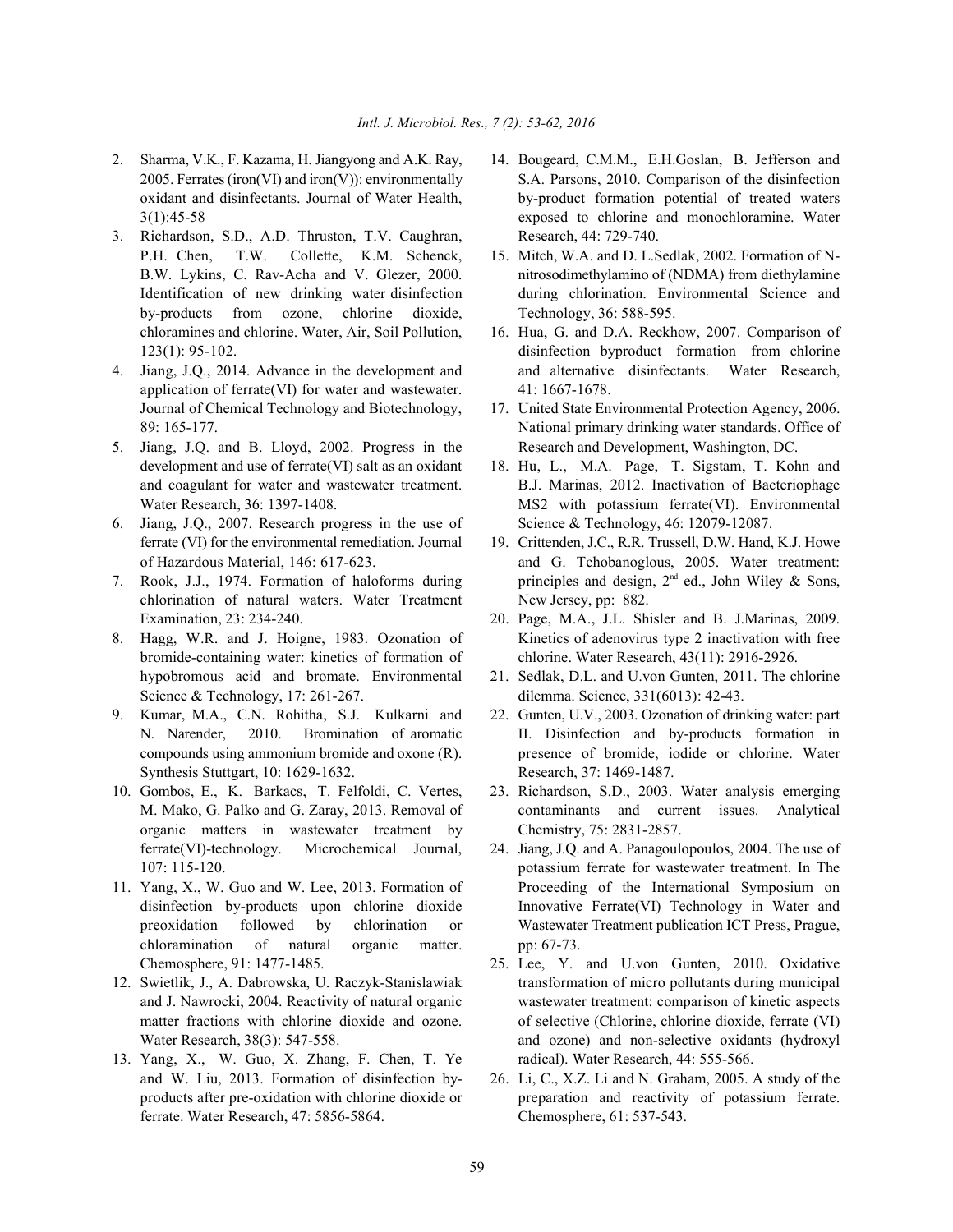- 
- 3. Richardson, S.D., A.D. Thruston, T.V. Caughran, Research, 44: 729-740. P.H. Chen, T.W. Collette, K.M. Schenck, 15. Mitch, W.A. and D. L. Sedlak, 2002. Formation of Nby-products from ozone, chlorine dioxide, Technology, 36: 588-595. chloramines and chlorine. Water, Air, Soil Pollution, 16. Hua, G. and D.A. Reckhow, 2007. Comparison of
- application of ferrate(VI) for water and wastewater. 41: 1667-1678.
- 5. Jiang, J.Q. and B. Lloyd, 2002. Progress in the Research and Development, Washington, DC. development and use of ferrate(VI) salt as an oxidant 18. Hu, L., M.A. Page, T. Sigstam, T. Kohn and
- 6. Jiang, J.Q., 2007. Research progress in the use of Science & Technology, 46: 12079-12087. ferrate (VI) for the environmental remediation. Journal 19. Crittenden, J.C., R.R. Trussell, D.W. Hand, K.J. Howe
- 7. Rook, J.J., 1974. Formation of haloforms during chlorination of natural waters. Water Treatment New Jersey, pp: 882.
- bromide-containing water: kinetics of formation of chlorine. Water Research, 43(11): 2916-2926. hypobromous acid and bromate. Environmental 21. Sedlak, D.L. and U.von Gunten, 2011. The chlorine Science & Technology, 17: 261-267. dilemma. Science, 331(6013): 42-43.
- Synthesis Stuttgart, 10: 1629-1632. Research, 37: 1469-1487.
- 10. Gombos, E., K. Barkacs, T. Felfoldi, C. Vertes, 23. Richardson, S.D., 2003. Water analysis emerging organic matters in wastewater treatment by Chemistry, 75: 2831-2857.
- chloramination of natural organic matter. pp: 67-73.
- 
- 13. Yang, X., W. Guo, X. Zhang, F. Chen, T. Ye radical). Water Research, 44: 555-566. ferrate. Water Research, 47: 5856-5864. Chemosphere, 61: 537-543.
- 2. Sharma, V.K., F. Kazama, H. Jiangyong and A.K. Ray, 14. Bougeard, C.M.M., E.H.Goslan, B. Jefferson and 2005. Ferrates (iron(VI) and iron(V)): environmentally S.A. Parsons, 2010. Comparison of the disinfection oxidant and disinfectants. Journal of Water Health, by-product formation potential of treated waters 3(1):45-58 exposed to chlorine and monochloramine. Water
	- B.W. Lykins, C. Rav-Acha and V. Glezer, 2000. nitrosodimethylamino of (NDMA) from diethylamine Identification of new drinking water disinfection during chlorination. Environmental Science and
- 123(1): 95-102. disinfection byproduct formation from chlorine 4. Jiang, J.Q., 2014. Advance in the development and and alternative disinfectants. Water Research,
	- Journal of Chemical Technology and Biotechnology, 17. United State Environmental Protection Agency, 2006. 89: 165-177. National primary drinking water standards. Office of
	- and coagulant for water and wastewater treatment. B.J. Marinas, 2012. Inactivation of Bacteriophage Water Research, 36: 1397-1408. MS2 with potassium ferrate(VI). Environmental
	- of Hazardous Material, 146: 617-623. and G. Tchobanoglous, 2005. Water treatment: principles and design,  $2^{nd}$  ed., John Wiley & Sons,
- Examination, 23: 234-240. 20. Page, M.A., J.L. Shisler and B. J.Marinas, 2009. 8. Hagg, W.R. and J. Hoigne, 1983. Ozonation of Kinetics of adenovirus type 2 inactivation with free
	-
- 9. Kumar, M.A., C.N. Rohitha, S.J. Kulkarni and 22. Gunten, U.V., 2003. Ozonation of drinking water: part N. Narender, 2010. Bromination of aromatic II. Disinfection and by-products formation in compounds using ammonium bromide and oxone (R). presence of bromide, iodide or chlorine. Water
	- M. Mako, G. Palko and G. Zaray, 2013. Removal of contaminants and current issues. Analytical
- ferrate(VI)-technology. Microchemical Journal, 24. Jiang, J.Q. and A. Panagoulopoulos, 2004. The use of 107: 115-120. potassium ferrate for wastewater treatment. In The 11. Yang, X., W. Guo and W. Lee, 2013. Formation of Proceeding of the International Symposium on disinfection by-products upon chlorine dioxide Innovative Ferrate(VI) Technology in Water and preoxidation followed by chlorination or Wastewater Treatment publication ICT Press, Prague,
- Chemosphere, 91: 1477-1485. 25. Lee, Y. and U.von Gunten, 2010. Oxidative 12. Swietlik, J., A. Dabrowska, U. Raczyk-Stanislawiak transformation of micro pollutants during municipal and J. Nawrocki, 2004. Reactivity of natural organic wastewater treatment: comparison of kinetic aspects matter fractions with chlorine dioxide and ozone. of selective (Chlorine, chlorine dioxide, ferrate (VI) Water Research, 38(3): 547-558. and ozone) and ozone) and non-selective oxidants (hydroxyl
	- and W. Liu, 2013. Formation of disinfection by- 26. Li, C., X.Z. Li and N. Graham, 2005. A study of the products after pre-oxidation with chlorine dioxide or preparation and reactivity of potassium ferrate.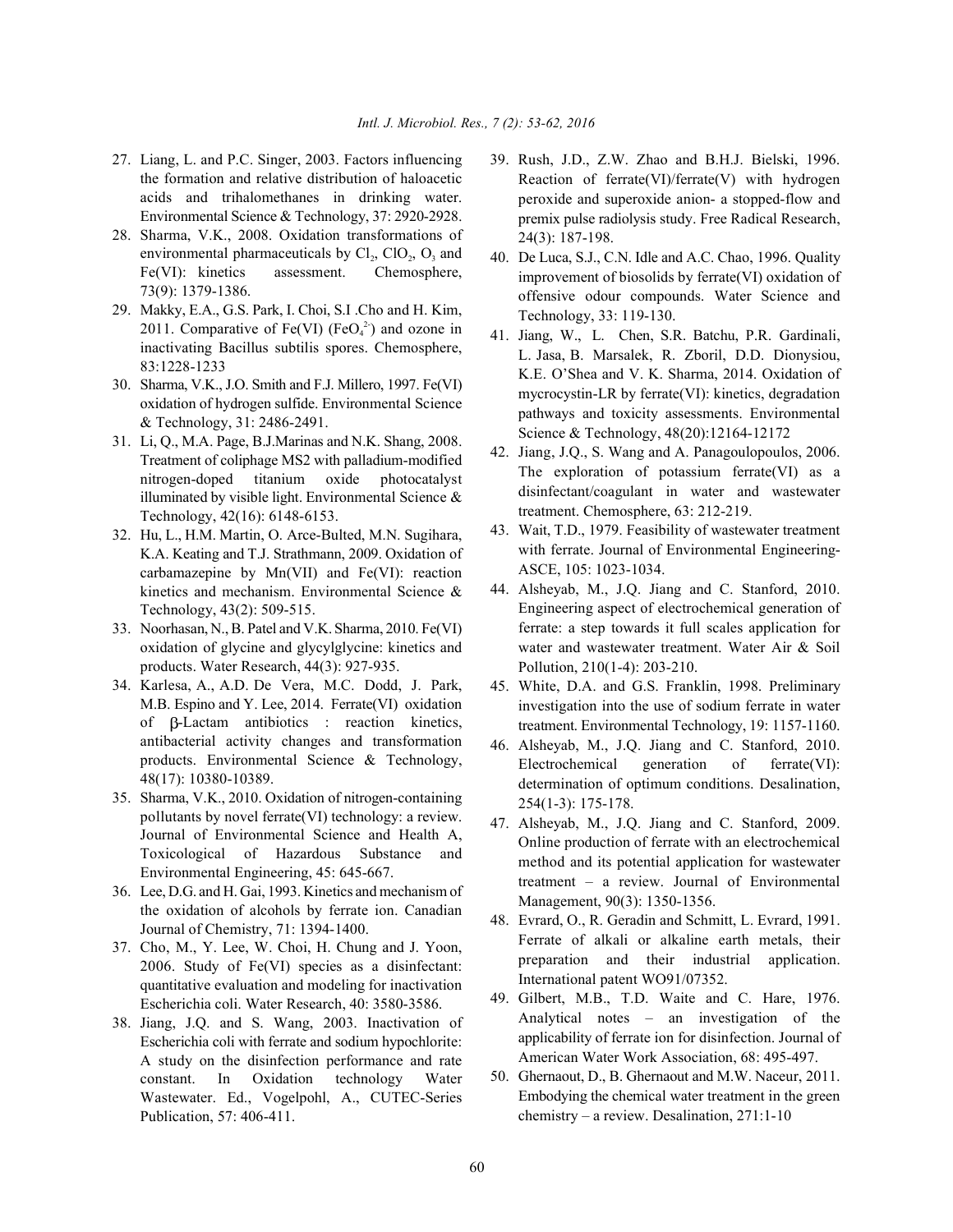- the formation and relative distribution of haloacetic acids and trihalomethanes in drinking water. Environmental Science & Technology, 37: 2920-2928.
- 28. Sharma, V.K., 2008. Oxidation transformations of environmental pharmaceuticals by  $Cl_2$ ,  $ClO_2$ ,  $O_3$  and Fe(VI): kinetics assessment. Chemosphere, 73(9): 1379-1386.
- 29. Makky, E.A., G.S. Park, I. Choi, S.I .Cho and H. Kim, 2011. Comparative of Fe(VI) (FeO<sub>4</sub><sup>2</sup>) and ozone in inactivating Bacillus subtilis spores. Chemosphere, 83:1228-1233
- 30. Sharma, V.K., J.O. Smith and F.J. Millero, 1997. Fe(VI) oxidation of hydrogen sulfide. Environmental Science & Technology, 31: 2486-2491.
- 31. Li, Q., M.A. Page, B.J.Marinas and N.K. Shang, 2008. Treatment of coliphage MS2 with palladium-modified nitrogen-doped titanium oxide photocatalyst illuminated by visible light. Environmental Science & Technology, 42(16): 6148-6153.
- 32. Hu, L., H.M. Martin, O. Arce-Bulted, M.N. Sugihara, K.A. Keating and T.J. Strathmann, 2009. Oxidation of carbamazepine by Mn(VII) and Fe(VI): reaction kinetics and mechanism. Environmental Science & Technology, 43(2): 509-515.
- 33. Noorhasan, N., B. Patel and V.K. Sharma, 2010. Fe(VI) oxidation of glycine and glycylglycine: kinetics and products. Water Research, 44(3): 927-935.
- 34. Karlesa, A., A.D. De Vera, M.C. Dodd, J. Park, M.B. Espino and Y. Lee, 2014. Ferrate(VI) oxidation of  $\beta$ -Lactam antibiotics : reaction kinetics, antibacterial activity changes and transformation products. Environmental Science & Technology, 48(17): 10380-10389.
- 35. Sharma, V.K., 2010. Oxidation of nitrogen-containing pollutants by novel ferrate(VI) technology: a review. Journal of Environmental Science and Health A, Toxicological of Hazardous Substance and Environmental Engineering, 45: 645-667.
- 36. Lee, D.G. and H. Gai, 1993. Kinetics and mechanism of the oxidation of alcohols by ferrate ion. Canadian Journal of Chemistry, 71: 1394-1400.
- 37. Cho, M., Y. Lee, W. Choi, H. Chung and J. Yoon, 2006. Study of Fe(VI) species as a disinfectant: quantitative evaluation and modeling for inactivation Escherichia coli. Water Research, 40: 3580-3586.
- 38. Jiang, J.Q. and S. Wang, 2003. Inactivation of Escherichia coli with ferrate and sodium hypochlorite: A study on the disinfection performance and rate constant. In Oxidation technology Water Wastewater. Ed., Vogelpohl, A., CUTEC-Series Publication, 57: 406-411.
- 27. Liang, L. and P.C. Singer, 2003. Factors influencing 39. Rush, J.D., Z.W. Zhao and B.H.J. Bielski, 1996. Reaction of ferrate(VI)/ferrate(V) with hydrogen peroxide and superoxide anion- a stopped-flow and premix pulse radiolysis study. Free Radical Research, 24(3): 187-198.
	- 40. De Luca, S.J., C.N. Idle and A.C. Chao, 1996. Quality improvement of biosolids by ferrate(VI) oxidation of offensive odour compounds. Water Science and Technology, 33: 119-130.
	- 41. Jiang, W., L. Chen, S.R. Batchu, P.R. Gardinali, L. Jasa, B. Marsalek, R. Zboril, D.D. Dionysiou, K.E. O'Shea and V. K. Sharma, 2014. Oxidation of mycrocystin-LR by ferrate(VI): kinetics, degradation pathways and toxicity assessments. Environmental Science & Technology, 48(20):12164-12172
	- 42. Jiang, J.Q., S. Wang and A. Panagoulopoulos, 2006. The exploration of potassium ferrate(VI) as a disinfectant/coagulant in water and wastewater treatment. Chemosphere, 63: 212-219.
	- 43. Wait, T.D., 1979. Feasibility of wastewater treatment with ferrate. Journal of Environmental Engineering-ASCE, 105: 1023-1034.
	- 44. Alsheyab, M., J.Q. Jiang and C. Stanford, 2010. Engineering aspect of electrochemical generation of ferrate: a step towards it full scales application for water and wastewater treatment. Water Air & Soil Pollution, 210(1-4): 203-210.
	- 45. White, D.A. and G.S. Franklin, 1998. Preliminary investigation into the use of sodium ferrate in water treatment. Environmental Technology, 19: 1157-1160.
	- 46. Alsheyab, M., J.Q. Jiang and C. Stanford, 2010. Electrochemical generation of ferrate(VI): determination of optimum conditions. Desalination, 254(1-3): 175-178.
	- 47. Alsheyab, M., J.Q. Jiang and C. Stanford, 2009. Online production of ferrate with an electrochemical method and its potential application for wastewater treatment – a review. Journal of Environmental Management, 90(3): 1350-1356.
	- 48. Evrard, O., R. Geradin and Schmitt, L. Evrard, 1991. Ferrate of alkali or alkaline earth metals, their preparation and their industrial application. International patent WO91/07352.
	- 49. Gilbert, M.B., T.D. Waite and C. Hare, 1976. Analytical notes – an investigation of the applicability of ferrate ion for disinfection. Journal of American Water Work Association, 68: 495-497.
	- 50. Ghernaout, D., B. Ghernaout and M.W. Naceur, 2011. Embodying the chemical water treatment in the green chemistry – a review. Desalination, 271:1-10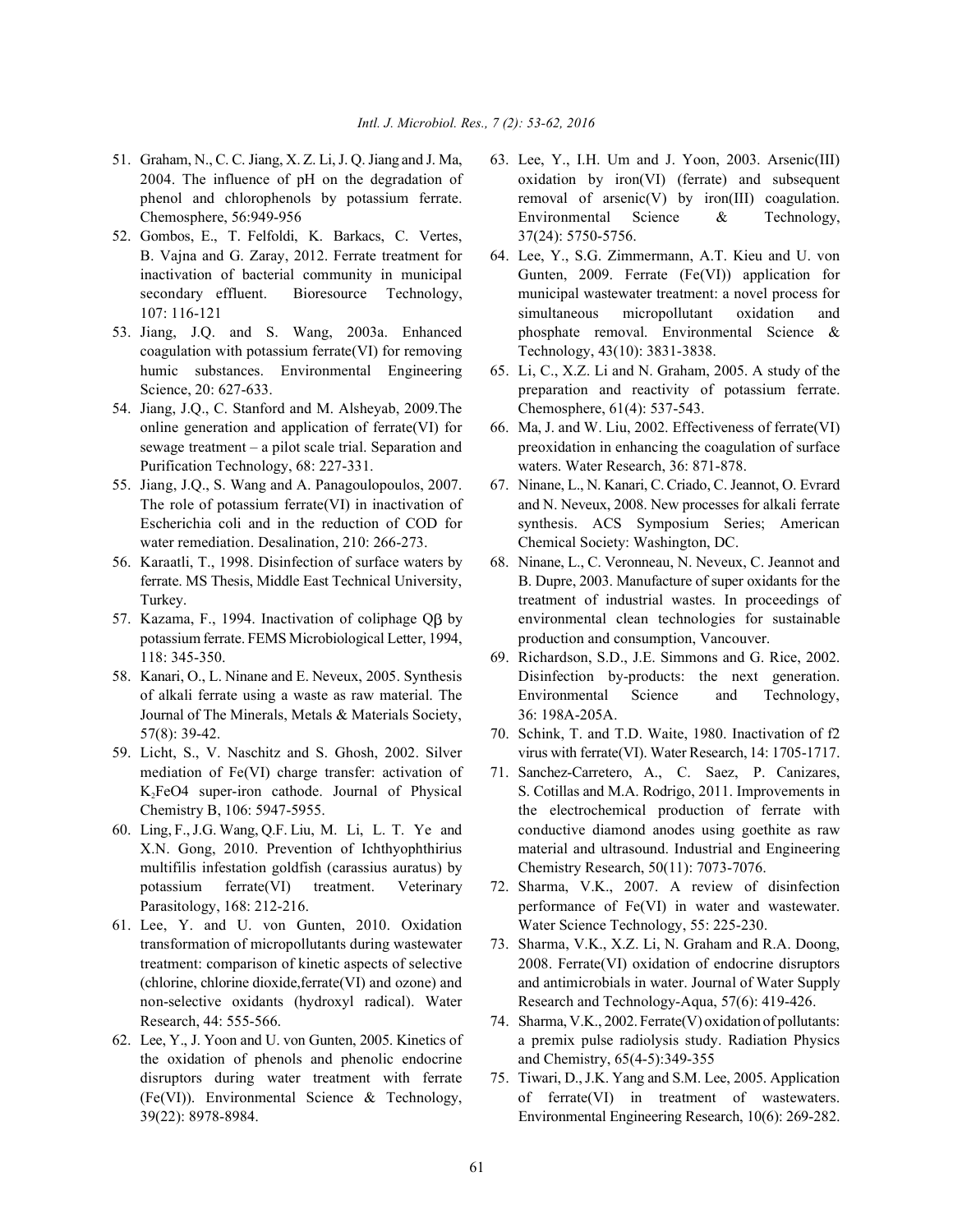- 
- 52. Gombos, E., T. Felfoldi, K. Barkacs, C. Vertes, 37(24): 5750-5756. B. Vajna and G. Zaray, 2012. Ferrate treatment for 64. Lee, Y., S.G. Zimmermann, A.T. Kieu and U. von
- coagulation with potassium ferrate(VI) for removing Technology, 43(10): 3831-3838.
- 54. Jiang, J.Q., C. Stanford and M. Alsheyab, 2009.The Chemosphere, 61(4): 537-543. online generation and application of ferrate(VI) for 66. Ma, J. and W. Liu, 2002. Effectiveness of ferrate(VI) Purification Technology, 68: 227-331. waters. Water Research, 36: 871-878.
- 55. Jiang, J.Q., S. Wang and A. Panagoulopoulos, 2007. 67. Ninane, L., N. Kanari, C. Criado, C. Jeannot, O. Evrard water remediation. Desalination, 210: 266-273. Chemical Society: Washington, DC.
- 56. Karaatli, T., 1998. Disinfection of surface waters by 68. Ninane, L., C. Veronneau, N. Neveux, C. Jeannot and
- potassium ferrate. FEMS Microbiological Letter, 1994, production and consumption, Vancouver. 118: 345-350. 69. Richardson, S.D., J.E. Simmons and G. Rice, 2002.
- Journal of The Minerals, Metals & Materials Society, 36: 198A-205A.
- mediation of Fe(VI) charge transfer: activation of 71. Sanchez-Carretero, A., C. Saez, P. Canizares,
- multifilis infestation goldfish (carassius auratus) by Chemistry Research, 50(11): 7073-7076.
- 61. Lee, Y. and U. von Gunten, 2010. Oxidation Water Science Technology, 55: 225-230. transformation of micropollutants during wastewater 73. Sharma, V.K., X.Z. Li, N. Graham and R.A. Doong, Research, 44: 555-566. 74. Sharma, V.K., 2002. Ferrate(V) oxidation of pollutants:
- the oxidation of phenols and phenolic endocrine and Chemistry, 65(4-5):349-355 disruptors during water treatment with ferrate 75. Tiwari, D., J.K. Yang and S.M. Lee, 2005. Application
- 51. Graham, N., C. C. Jiang, X. Z. Li, J. Q. Jiang and J. Ma, 63. Lee, Y., I.H. Um and J. Yoon, 2003. Arsenic(III) 2004. The influence of pH on the degradation of oxidation by iron(VI) (ferrate) and subsequent phenol and chlorophenols by potassium ferrate. removal of arsenic(V) by iron(III) coagulation. Chemosphere, 56:949-956 Environmental Science & Technology,
- inactivation of bacterial community in municipal Gunten, 2009. Ferrate (Fe(VI)) application for secondary effluent. Bioresource Technology, municipal wastewater treatment: a novel process for 107: 116-121 simultaneous micropollutant oxidation and 53. Jiang, J.Q. and S. Wang, 2003a. Enhanced phosphate removal. Environmental Science &
	- humic substances. Environmental Engineering 65. Li, C., X.Z. Li and N. Graham, 2005. A study of the Science, 20: 627-633. **preparation** and reactivity of potassium ferrate.
	- sewage treatment a pilot scale trial. Separation and preoxidation in enhancing the coagulation of surface
	- The role of potassium ferrate(VI) in inactivation of and N. Neveux, 2008. New processes for alkali ferrate Escherichia coli and in the reduction of COD for synthesis. ACS Symposium Series; American
- ferrate. MS Thesis, Middle East Technical University, B. Dupre, 2003. Manufacture of super oxidants for the Turkey. Turkey. Turkey is treatment of industrial wastes. In proceedings of 57. Kazama, F., 1994. Inactivation of coliphage  $\overrightarrow{OB}$  by environmental clean technologies for sustainable
- 58. Kanari, O., L. Ninane and E. Neveux, 2005. Synthesis Disinfection by-products: the next generation. of alkali ferrate using a waste as raw material. The Environmental Science and Technology,
- 57(8): 39-42. 70. Schink, T. and T.D. Waite, 1980. Inactivation of f2 59. Licht, S., V. Naschitz and S. Ghosh, 2002. Silver virus with ferrate(VI). Water Research, 14: 1705-1717.
- K, FeO4 super-iron cathode. Journal of Physical S. Cotillas and M.A. Rodrigo, 2011. Improvements in Chemistry B, 106: 5947-5955. the electrochemical production of ferrate with 60. Ling, F., J.G. Wang, Q.F. Liu, M. Li, L. T. Ye and conductive diamond anodes using goethite as raw X.N. Gong, 2010. Prevention of Ichthyophthirius material and ultrasound. Industrial and Engineering
	- potassium ferrate(VI) treatment. Veterinary 72. Sharma, V.K., 2007. A review of disinfection Parasitology, 168: 212-216. **performance of Fe(VI)** in water and wastewater.
	- treatment: comparison of kinetic aspects of selective 2008. Ferrate(VI) oxidation of endocrine disruptors (chlorine, chlorine dioxide,ferrate(VI) and ozone) and and antimicrobials in water. Journal of Water Supply non-selective oxidants (hydroxyl radical). Water Research and Technology-Aqua, 57(6): 419-426.
- 62. Lee, Y., J. Yoon and U. von Gunten, 2005. Kinetics of a premix pulse radiolysis study. Radiation Physics
	- (Fe(VI)). Environmental Science & Technology, of ferrate(VI) in treatment of wastewaters. 39(22): 8978-8984. Environmental Engineering Research, 10(6): 269-282.